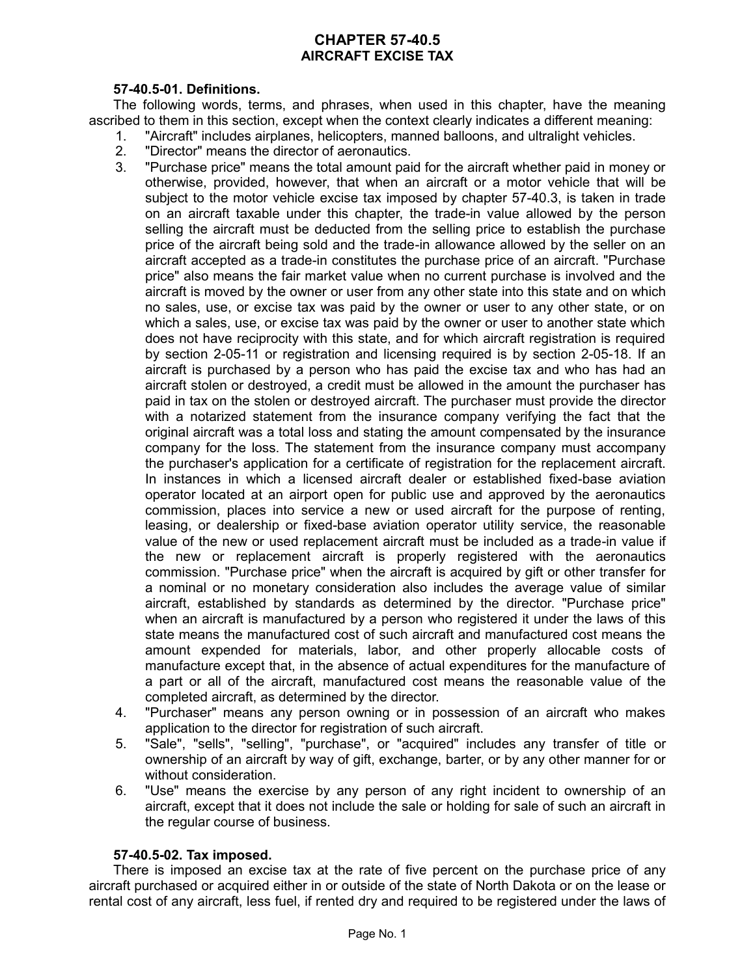# **CHAPTER 57-40.5 AIRCRAFT EXCISE TAX**

### **57-40.5-01. Definitions.**

The following words, terms, and phrases, when used in this chapter, have the meaning ascribed to them in this section, except when the context clearly indicates a different meaning:

- 1. "Aircraft" includes airplanes, helicopters, manned balloons, and ultralight vehicles.
	- 2. "Director" means the director of aeronautics.
	- 3. "Purchase price" means the total amount paid for the aircraft whether paid in money or otherwise, provided, however, that when an aircraft or a motor vehicle that will be subject to the motor vehicle excise tax imposed by chapter 57-40.3, is taken in trade on an aircraft taxable under this chapter, the trade-in value allowed by the person selling the aircraft must be deducted from the selling price to establish the purchase price of the aircraft being sold and the trade-in allowance allowed by the seller on an aircraft accepted as a trade-in constitutes the purchase price of an aircraft. "Purchase price" also means the fair market value when no current purchase is involved and the aircraft is moved by the owner or user from any other state into this state and on which no sales, use, or excise tax was paid by the owner or user to any other state, or on which a sales, use, or excise tax was paid by the owner or user to another state which does not have reciprocity with this state, and for which aircraft registration is required by section 2-05-11 or registration and licensing required is by section 2-05-18. If an aircraft is purchased by a person who has paid the excise tax and who has had an aircraft stolen or destroyed, a credit must be allowed in the amount the purchaser has paid in tax on the stolen or destroyed aircraft. The purchaser must provide the director with a notarized statement from the insurance company verifying the fact that the original aircraft was a total loss and stating the amount compensated by the insurance company for the loss. The statement from the insurance company must accompany the purchaser's application for a certificate of registration for the replacement aircraft. In instances in which a licensed aircraft dealer or established fixed-base aviation operator located at an airport open for public use and approved by the aeronautics commission, places into service a new or used aircraft for the purpose of renting, leasing, or dealership or fixed-base aviation operator utility service, the reasonable value of the new or used replacement aircraft must be included as a trade-in value if the new or replacement aircraft is properly registered with the aeronautics commission. "Purchase price" when the aircraft is acquired by gift or other transfer for a nominal or no monetary consideration also includes the average value of similar aircraft, established by standards as determined by the director. "Purchase price" when an aircraft is manufactured by a person who registered it under the laws of this state means the manufactured cost of such aircraft and manufactured cost means the amount expended for materials, labor, and other properly allocable costs of manufacture except that, in the absence of actual expenditures for the manufacture of a part or all of the aircraft, manufactured cost means the reasonable value of the completed aircraft, as determined by the director.
- 4. "Purchaser" means any person owning or in possession of an aircraft who makes application to the director for registration of such aircraft.
- 5. "Sale", "sells", "selling", "purchase", or "acquired" includes any transfer of title or ownership of an aircraft by way of gift, exchange, barter, or by any other manner for or without consideration.
- 6. "Use" means the exercise by any person of any right incident to ownership of an aircraft, except that it does not include the sale or holding for sale of such an aircraft in the regular course of business.

### **57-40.5-02. Tax imposed.**

There is imposed an excise tax at the rate of five percent on the purchase price of any aircraft purchased or acquired either in or outside of the state of North Dakota or on the lease or rental cost of any aircraft, less fuel, if rented dry and required to be registered under the laws of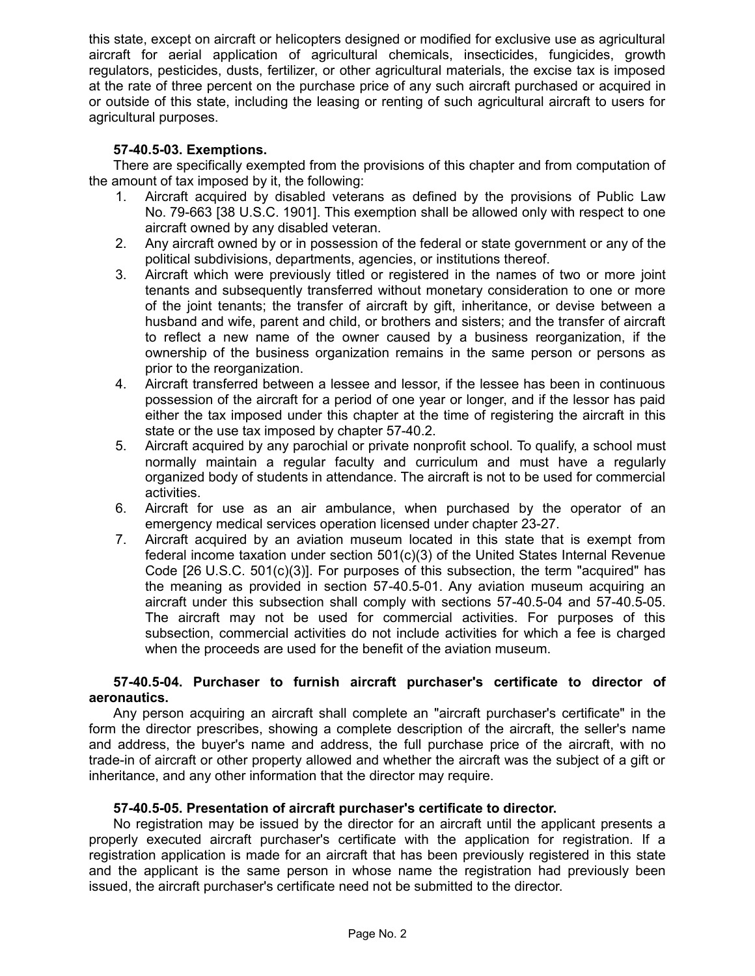this state, except on aircraft or helicopters designed or modified for exclusive use as agricultural aircraft for aerial application of agricultural chemicals, insecticides, fungicides, growth regulators, pesticides, dusts, fertilizer, or other agricultural materials, the excise tax is imposed at the rate of three percent on the purchase price of any such aircraft purchased or acquired in or outside of this state, including the leasing or renting of such agricultural aircraft to users for agricultural purposes.

## **57-40.5-03. Exemptions.**

There are specifically exempted from the provisions of this chapter and from computation of the amount of tax imposed by it, the following:

- 1. Aircraft acquired by disabled veterans as defined by the provisions of Public Law No. 79-663 [38 U.S.C. 1901]. This exemption shall be allowed only with respect to one aircraft owned by any disabled veteran.
- 2. Any aircraft owned by or in possession of the federal or state government or any of the political subdivisions, departments, agencies, or institutions thereof.
- 3. Aircraft which were previously titled or registered in the names of two or more joint tenants and subsequently transferred without monetary consideration to one or more of the joint tenants; the transfer of aircraft by gift, inheritance, or devise between a husband and wife, parent and child, or brothers and sisters; and the transfer of aircraft to reflect a new name of the owner caused by a business reorganization, if the ownership of the business organization remains in the same person or persons as prior to the reorganization.
- 4. Aircraft transferred between a lessee and lessor, if the lessee has been in continuous possession of the aircraft for a period of one year or longer, and if the lessor has paid either the tax imposed under this chapter at the time of registering the aircraft in this state or the use tax imposed by chapter 57-40.2.
- 5. Aircraft acquired by any parochial or private nonprofit school. To qualify, a school must normally maintain a regular faculty and curriculum and must have a regularly organized body of students in attendance. The aircraft is not to be used for commercial activities.
- 6. Aircraft for use as an air ambulance, when purchased by the operator of an emergency medical services operation licensed under chapter 23-27.
- 7. Aircraft acquired by an aviation museum located in this state that is exempt from federal income taxation under section  $501(c)(3)$  of the United States Internal Revenue Code [26 U.S.C. 501(c)(3)]. For purposes of this subsection, the term "acquired" has the meaning as provided in section 57-40.5-01. Any aviation museum acquiring an aircraft under this subsection shall comply with sections 57-40.5-04 and 57-40.5-05. The aircraft may not be used for commercial activities. For purposes of this subsection, commercial activities do not include activities for which a fee is charged when the proceeds are used for the benefit of the aviation museum.

### **57-40.5-04. Purchaser to furnish aircraft purchaser's certificate to director of aeronautics.**

Any person acquiring an aircraft shall complete an "aircraft purchaser's certificate" in the form the director prescribes, showing a complete description of the aircraft, the seller's name and address, the buyer's name and address, the full purchase price of the aircraft, with no trade-in of aircraft or other property allowed and whether the aircraft was the subject of a gift or inheritance, and any other information that the director may require.

### **57-40.5-05. Presentation of aircraft purchaser's certificate to director.**

No registration may be issued by the director for an aircraft until the applicant presents a properly executed aircraft purchaser's certificate with the application for registration. If a registration application is made for an aircraft that has been previously registered in this state and the applicant is the same person in whose name the registration had previously been issued, the aircraft purchaser's certificate need not be submitted to the director.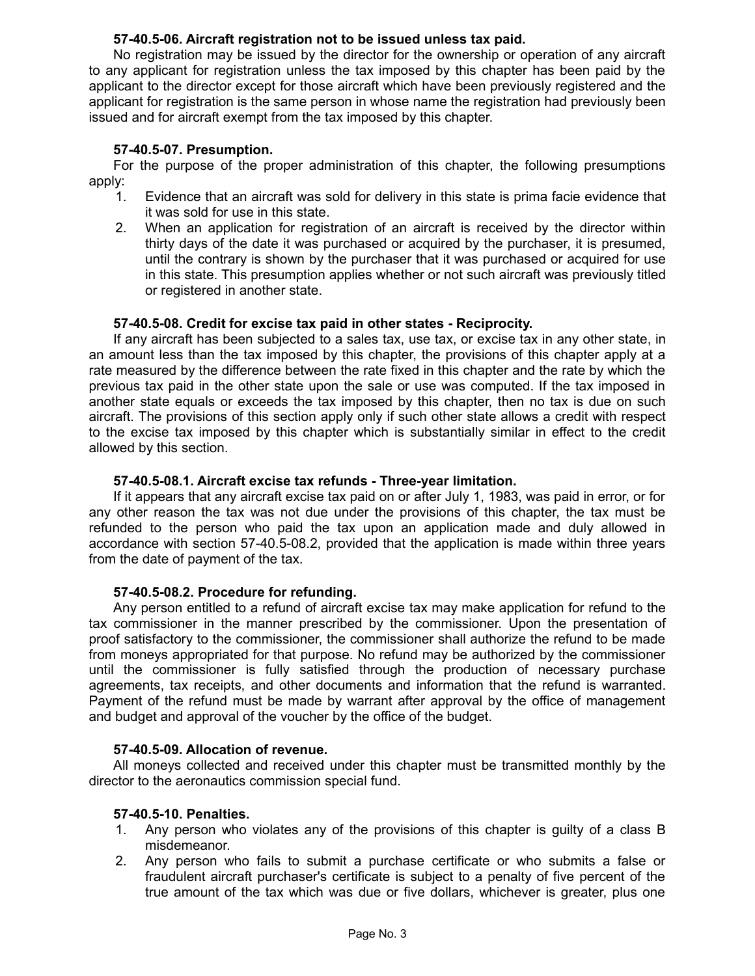### **57-40.5-06. Aircraft registration not to be issued unless tax paid.**

No registration may be issued by the director for the ownership or operation of any aircraft to any applicant for registration unless the tax imposed by this chapter has been paid by the applicant to the director except for those aircraft which have been previously registered and the applicant for registration is the same person in whose name the registration had previously been issued and for aircraft exempt from the tax imposed by this chapter.

#### **57-40.5-07. Presumption.**

For the purpose of the proper administration of this chapter, the following presumptions apply:

- 1. Evidence that an aircraft was sold for delivery in this state is prima facie evidence that it was sold for use in this state.
- 2. When an application for registration of an aircraft is received by the director within thirty days of the date it was purchased or acquired by the purchaser, it is presumed, until the contrary is shown by the purchaser that it was purchased or acquired for use in this state. This presumption applies whether or not such aircraft was previously titled or registered in another state.

#### **57-40.5-08. Credit for excise tax paid in other states - Reciprocity.**

If any aircraft has been subjected to a sales tax, use tax, or excise tax in any other state, in an amount less than the tax imposed by this chapter, the provisions of this chapter apply at a rate measured by the difference between the rate fixed in this chapter and the rate by which the previous tax paid in the other state upon the sale or use was computed. If the tax imposed in another state equals or exceeds the tax imposed by this chapter, then no tax is due on such aircraft. The provisions of this section apply only if such other state allows a credit with respect to the excise tax imposed by this chapter which is substantially similar in effect to the credit allowed by this section.

#### **57-40.5-08.1. Aircraft excise tax refunds - Three-year limitation.**

If it appears that any aircraft excise tax paid on or after July 1, 1983, was paid in error, or for any other reason the tax was not due under the provisions of this chapter, the tax must be refunded to the person who paid the tax upon an application made and duly allowed in accordance with section 57-40.5-08.2, provided that the application is made within three years from the date of payment of the tax.

#### **57-40.5-08.2. Procedure for refunding.**

Any person entitled to a refund of aircraft excise tax may make application for refund to the tax commissioner in the manner prescribed by the commissioner. Upon the presentation of proof satisfactory to the commissioner, the commissioner shall authorize the refund to be made from moneys appropriated for that purpose. No refund may be authorized by the commissioner until the commissioner is fully satisfied through the production of necessary purchase agreements, tax receipts, and other documents and information that the refund is warranted. Payment of the refund must be made by warrant after approval by the office of management and budget and approval of the voucher by the office of the budget.

#### **57-40.5-09. Allocation of revenue.**

All moneys collected and received under this chapter must be transmitted monthly by the director to the aeronautics commission special fund.

#### **57-40.5-10. Penalties.**

- 1. Any person who violates any of the provisions of this chapter is guilty of a class B misdemeanor.
- 2. Any person who fails to submit a purchase certificate or who submits a false or fraudulent aircraft purchaser's certificate is subject to a penalty of five percent of the true amount of the tax which was due or five dollars, whichever is greater, plus one